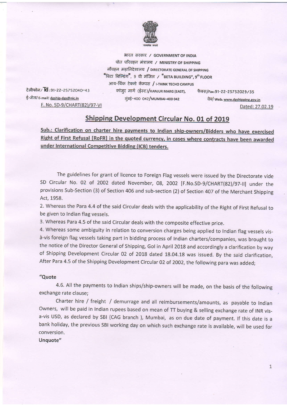

भारत सरकार / GOVERNMENT OF INDIA पोत परिवहन मंत्रालय / MINISTRY OF SHIPPING नौवहन महानिदेशालय / DIRECTORATE GENERAL OF SHIPPING "बिटा बिल्डिंग", 9 वी मंजिल / "BETA BUILDING", 9th FLOOR आय-थिंक टेक्नो कॅम्पस / I-THINK TECHO CAMPUS कांजुर मार्ग (ईस्ट)/камин макс (EAST), फैक्स/Fax:91-22-25752029/35 मुंबई-400 042/MUMBAI-400 042

टेलीफोन/ld:91-22-25752040-43 ई-मेल/ E-mail: dgship-dgs@nic.in F. No. SD-9/CHART(82)/97-VI

वेब/ Web: www.dgshipping.gov.in Dated: 27.02.19

## **Shipping Development Circular No. 01 of 2019**

Sub.: Clarification on charter hire payments to Indian ship-owners/Bidders who have exercised Right of First Refusal [RoFR] in the quoted currency, in cases where contracts have been awarded under International Competitive Bidding (ICB) tenders.

The guidelines for grant of licence to Foreign Flag vessels were issued by the Directorate vide SD Circular No. 02 of 2002 dated November, 08, 2002 [F.No.SD-9/CHART(82)/97-II] under the provisions Sub-Section (3) of Section 406 and sub-section (2) of Section 407 of the Merchant Shipping Act, 1958.

2. Whereas the Para 4.4 of the said Circular deals with the applicability of the Right of First Refusal to be given to Indian flag vessels.

3. Whereas Para 4.5 of the said Circular deals with the composite effective price.

4. Whereas some ambiguity in relation to conversion charges being applied to Indian flag vessels visà-vis foreign flag vessels taking part in bidding process of Indian charters/companies, was brought to the notice of the Director General of Shipping, Gol in April 2018 and accordingly a clarification by way of Shipping Development Circular 02 of 2018 dated 18.04.18 was issued. By the said clarification, After Para 4.5 of the Shipping Development Circular 02 of 2002, the following para was added;

## "Quote

4.6. All the payments to Indian ships/ship-owners will be made, on the basis of the following exchange rate clause;

Charter hire / freight / demurrage and all reimbursements/amounts, as payable to Indian Owners, will be paid in Indian rupees based on mean of TT buying & selling exchange rate of INR visa-vis USD, as declared by SBI (CAG branch), Mumbai, as on due date of payment. If this date is a bank holiday, the previous SBI working day on which such exchange rate is available, will be used for conversion.

Unquote"

 $\mathbf{1}$